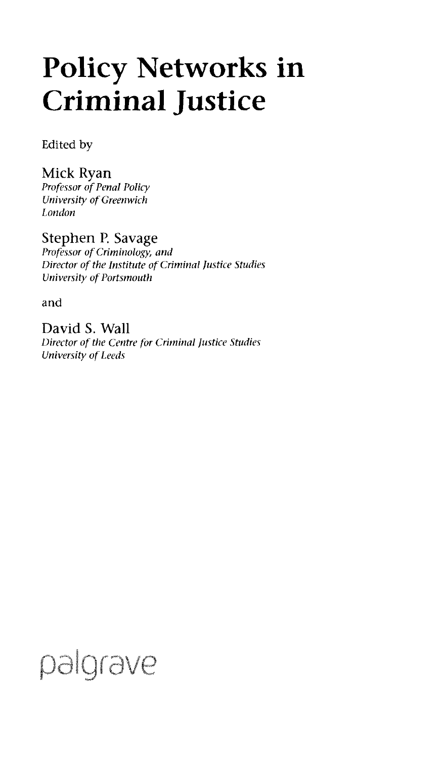## Policy Networks in Criminal Justice

Edited by

Mick Ryan **Professor of Penal Policy** *University of Greenwich London*

Stephen P. Savage *Professor of Criminology, and* **Director of the Institute of Criminal Justice Studies** *University of Portsmouth*

and

David S. Wall *Director ofthe Centre for Criminal Justice Studies University ofLeeds*

## palgrave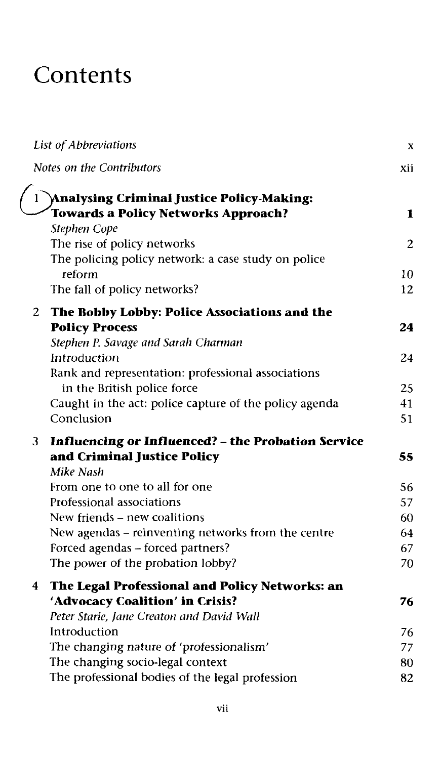## **Contents**

|              | List of Abbreviations                                                                                     | X            |
|--------------|-----------------------------------------------------------------------------------------------------------|--------------|
|              | Notes on the Contributors                                                                                 | xii          |
| $\mathbf{1}$ | <b>Analysing Criminal Justice Policy-Making:</b><br><b>Towards a Policy Networks Approach?</b>            | 1            |
|              | Stephen Cope<br>The rise of policy networks<br>The policing policy network: a case study on police        | $\mathbf{2}$ |
|              | reform<br>The fall of policy networks?                                                                    | 10<br>12     |
|              |                                                                                                           |              |
| 2            | The Bobby Lobby: Police Associations and the<br><b>Policy Process</b>                                     | 24           |
|              | Stephen P. Savage and Sarah Charman<br>Introduction<br>Rank and representation: professional associations | 24           |
|              | in the British police force                                                                               | 25           |
|              | Caught in the act: police capture of the policy agenda                                                    | 41           |
|              | Conclusion                                                                                                | 51           |
| 3.           | <b>Influencing or Influenced? - the Probation Service</b>                                                 |              |
|              | and Criminal Justice Policy<br>Mike Nash                                                                  | 55           |
|              | From one to one to all for one                                                                            | 56           |
|              | Professional associations                                                                                 | 57           |
|              | New friends - new coalitions                                                                              | 60           |
|              | New agendas - reinventing networks from the centre                                                        | 64<br>67     |
|              | Forced agendas - forced partners?<br>The power of the probation lobby?                                    | 70           |
|              |                                                                                                           |              |
| 4            | The Legal Professional and Policy Networks: an<br>'Advocacy Coalition' in Crisis?                         | 76           |
|              | Peter Starie, Jane Creaton and David Wall                                                                 |              |
|              | Introduction                                                                                              | 76           |
|              | The changing nature of 'professionalism'                                                                  | 77           |
|              | The changing socio-legal context                                                                          | 80           |
|              | The professional bodies of the legal profession                                                           | 82           |
|              |                                                                                                           |              |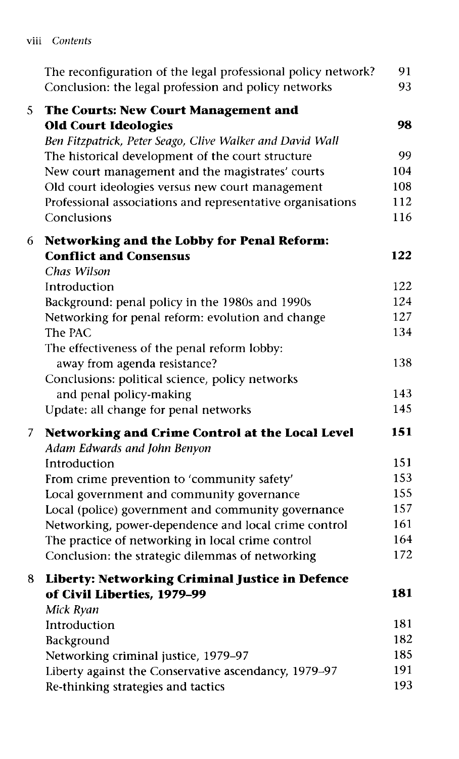| Contents<br>VIII |
|------------------|
|------------------|

|   | The reconfiguration of the legal professional policy network?<br>Conclusion: the legal profession and policy networks | 91<br>93   |
|---|-----------------------------------------------------------------------------------------------------------------------|------------|
| 5 | <b>The Courts: New Court Management and</b><br><b>Old Court Ideologies</b>                                            | 98         |
|   | Ben Fitzpatrick, Peter Seago, Clive Walker and David Wall                                                             |            |
|   | The historical development of the court structure                                                                     | 99         |
|   | New court management and the magistrates' courts                                                                      | 104        |
|   | Old court ideologies versus new court management                                                                      | 108        |
|   | Professional associations and representative organisations                                                            | 112        |
|   | Conclusions                                                                                                           | 116        |
| 6 | <b>Networking and the Lobby for Penal Reform:</b>                                                                     |            |
|   | <b>Conflict and Consensus</b>                                                                                         | 122        |
|   | Chas Wilson                                                                                                           |            |
|   | Introduction                                                                                                          | 122        |
|   | Background: penal policy in the 1980s and 1990s                                                                       | 124        |
|   | Networking for penal reform: evolution and change                                                                     | 127        |
|   | The PAC                                                                                                               | 134        |
|   | The effectiveness of the penal reform lobby:                                                                          |            |
|   | away from agenda resistance?                                                                                          | 138        |
|   | Conclusions: political science, policy networks                                                                       |            |
|   | and penal policy-making                                                                                               | 143        |
|   | Update: all change for penal networks                                                                                 | 145        |
| 7 | Networking and Crime Control at the Local Level                                                                       | 151        |
|   | Adam Edwards and John Benyon                                                                                          |            |
|   | Introduction                                                                                                          | 151        |
|   | From crime prevention to 'community safety'                                                                           | 153        |
|   | Local government and community governance                                                                             | 155        |
|   | Local (police) government and community governance                                                                    | 157        |
|   | Networking, power-dependence and local crime control                                                                  | 161        |
|   | The practice of networking in local crime control                                                                     | 164        |
|   | Conclusion: the strategic dilemmas of networking                                                                      | 172        |
| 8 | Liberty: Networking Criminal Justice in Defence                                                                       |            |
|   | of Civil Liberties, 1979-99                                                                                           | 181        |
|   | Mick Ryan                                                                                                             |            |
|   | Introduction                                                                                                          | 181        |
|   | Background                                                                                                            | 182<br>185 |
|   | Networking criminal justice, 1979-97                                                                                  | 191        |
|   | Liberty against the Conservative ascendancy, 1979-97                                                                  | 193        |
|   | Re-thinking strategies and tactics                                                                                    |            |